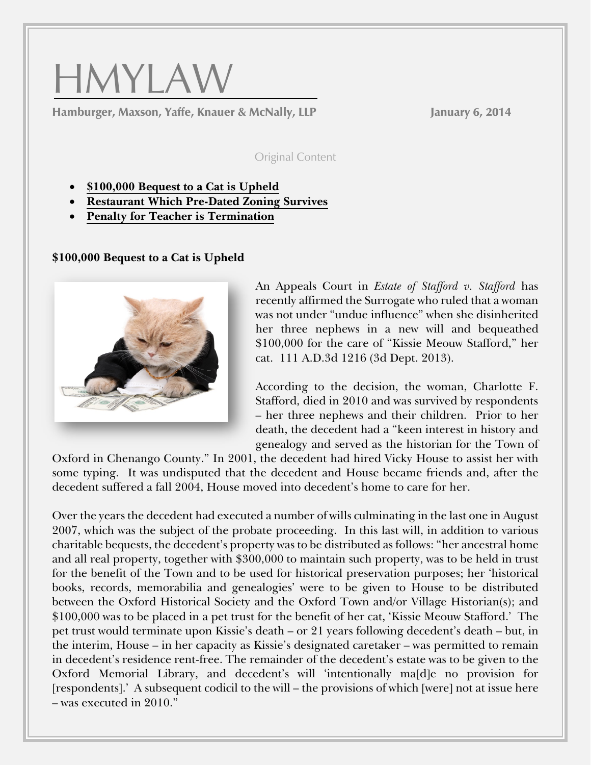

Hamburger, Maxson, Yaffe, Knauer & McNally, LLP January 6, 2014

Original Content

- **\$100,000 Bequest to a Cat is Upheld**
- **[Restaurant Which Pre-Dated Zoning Survives](#page-1-0)**
- **[Penalty for Teacher is Termination](#page-3-0)**

**\$100,000 Bequest to a Cat is Upheld**



An Appeals Court in *Estate of Stafford v. Stafford* has recently affirmed the Surrogate who ruled that a woman was not under "undue influence" when she disinherited her three nephews in a new will and bequeathed \$100,000 for the care of "Kissie Meouw Stafford," her cat. 111 A.D.3d 1216 (3d Dept. 2013).

According to the decision, the woman, Charlotte F. Stafford, died in 2010 and was survived by respondents – her three nephews and their children. Prior to her death, the decedent had a "keen interest in history and genealogy and served as the historian for the Town of

Oxford in Chenango County." In 2001, the decedent had hired Vicky House to assist her with some typing. It was undisputed that the decedent and House became friends and, after the decedent suffered a fall 2004, House moved into decedent's home to care for her.

Over the years the decedent had executed a number of wills culminating in the last one in August 2007, which was the subject of the probate proceeding. In this last will, in addition to various charitable bequests, the decedent's property was to be distributed as follows: "her ancestral home and all real property, together with \$300,000 to maintain such property, was to be held in trust for the benefit of the Town and to be used for historical preservation purposes; her 'historical books, records, memorabilia and genealogies' were to be given to House to be distributed between the Oxford Historical Society and the Oxford Town and/or Village Historian(s); and \$100,000 was to be placed in a pet trust for the benefit of her cat, 'Kissie Meouw Stafford.' The pet trust would terminate upon Kissie's death – or 21 years following decedent's death – but, in the interim, House – in her capacity as Kissie's designated caretaker – was permitted to remain in decedent's residence rent-free. The remainder of the decedent's estate was to be given to the Oxford Memorial Library, and decedent's will 'intentionally ma[d]e no provision for [respondents].' A subsequent codicil to the will – the provisions of which [were] not at issue here – was executed in 2010."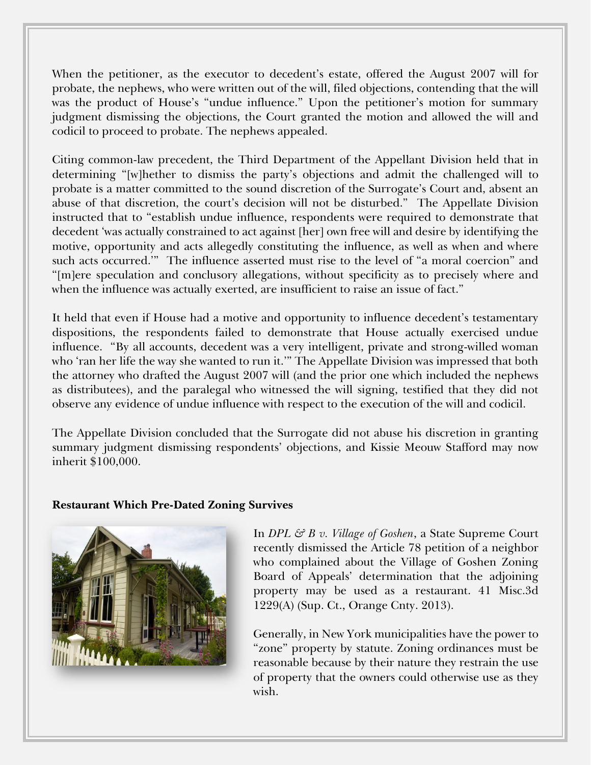<span id="page-1-0"></span>When the petitioner, as the executor to decedent's estate, offered the August 2007 will for probate, the nephews, who were written out of the will, filed objections, contending that the will was the product of House's "undue influence." Upon the petitioner's motion for summary judgment dismissing the objections, the Court granted the motion and allowed the will and codicil to proceed to probate. The nephews appealed.

Citing common-law precedent, the Third Department of the Appellant Division held that in determining "[w]hether to dismiss the party's objections and admit the challenged will to probate is a matter committed to the sound discretion of the Surrogate's Court and, absent an abuse of that discretion, the court's decision will not be disturbed." The Appellate Division instructed that to "establish undue influence, respondents were required to demonstrate that decedent 'was actually constrained to act against [her] own free will and desire by identifying the motive, opportunity and acts allegedly constituting the influence, as well as when and where such acts occurred.'" The influence asserted must rise to the level of "a moral coercion" and "[m]ere speculation and conclusory allegations, without specificity as to precisely where and when the influence was actually exerted, are insufficient to raise an issue of fact."

It held that even if House had a motive and opportunity to influence decedent's testamentary dispositions, the respondents failed to demonstrate that House actually exercised undue influence. "By all accounts, decedent was a very intelligent, private and strong-willed woman who 'ran her life the way she wanted to run it.'" The Appellate Division was impressed that both the attorney who drafted the August 2007 will (and the prior one which included the nephews as distributees), and the paralegal who witnessed the will signing, testified that they did not observe any evidence of undue influence with respect to the execution of the will and codicil.

The Appellate Division concluded that the Surrogate did not abuse his discretion in granting summary judgment dismissing respondents' objections, and Kissie Meouw Stafford may now inherit \$100,000.

## **Restaurant Which Pre-Dated Zoning Survives**



In *DPL & B v. Village of Goshen*, a State Supreme Court recently dismissed the Article 78 petition of a neighbor who complained about the Village of Goshen Zoning Board of Appeals' determination that the adjoining property may be used as a restaurant. 41 Misc.3d 1229(A) (Sup. Ct., Orange Cnty. 2013).

Generally, in New York municipalities have the power to "zone" property by statute. Zoning ordinances must be reasonable because by their nature they restrain the use of property that the owners could otherwise use as they wish.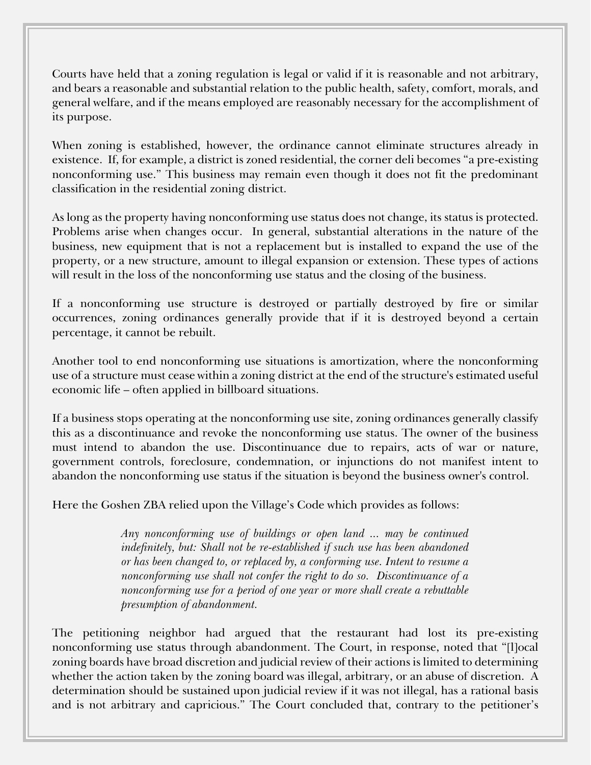Courts have held that a zoning regulation is legal or valid if it is reasonable and not arbitrary, and bears a reasonable and substantial relation to the public health, safety, comfort, morals, and general welfare, and if the means employed are reasonably necessary for the accomplishment of its purpose.

When zoning is established, however, the ordinance cannot eliminate structures already in existence. If, for example, a district is zoned residential, the corner deli becomes "a pre-existing nonconforming use." This business may remain even though it does not fit the predominant classification in the residential zoning district.

As long as the property having nonconforming use status does not change, its status is protected. Problems arise when changes occur. In general, substantial alterations in the nature of the business, new equipment that is not a replacement but is installed to expand the use of the property, or a new structure, amount to illegal expansion or extension. These types of actions will result in the loss of the nonconforming use status and the closing of the business.

If a nonconforming use structure is destroyed or partially destroyed by fire or similar occurrences, zoning ordinances generally provide that if it is destroyed beyond a certain percentage, it cannot be rebuilt.

Another tool to end nonconforming use situations is amortization, where the nonconforming use of a structure must cease within a zoning district at the end of the structure's estimated useful economic life – often applied in billboard situations.

If a business stops operating at the nonconforming use site, zoning ordinances generally classify this as a discontinuance and revoke the nonconforming use status. The owner of the business must intend to abandon the use. Discontinuance due to repairs, acts of war or nature, government controls, foreclosure, condemnation, or injunctions do not manifest intent to abandon the nonconforming use status if the situation is beyond the business owner's control.

Here the Goshen ZBA relied upon the Village's Code which provides as follows:

*Any nonconforming use of buildings or open land ... may be continued indefinitely, but: Shall not be re-established if such use has been abandoned or has been changed to, or replaced by, a conforming use. Intent to resume a nonconforming use shall not confer the right to do so. Discontinuance of a nonconforming use for a period of one year or more shall create a rebuttable presumption of abandonment.*

The petitioning neighbor had argued that the restaurant had lost its pre-existing nonconforming use status through abandonment. The Court, in response, noted that "[l]ocal zoning boards have broad discretion and judicial review of their actions is limited to determining whether the action taken by the zoning board was illegal, arbitrary, or an abuse of discretion. A determination should be sustained upon judicial review if it was not illegal, has a rational basis and is not arbitrary and capricious." The Court concluded that, contrary to the petitioner's